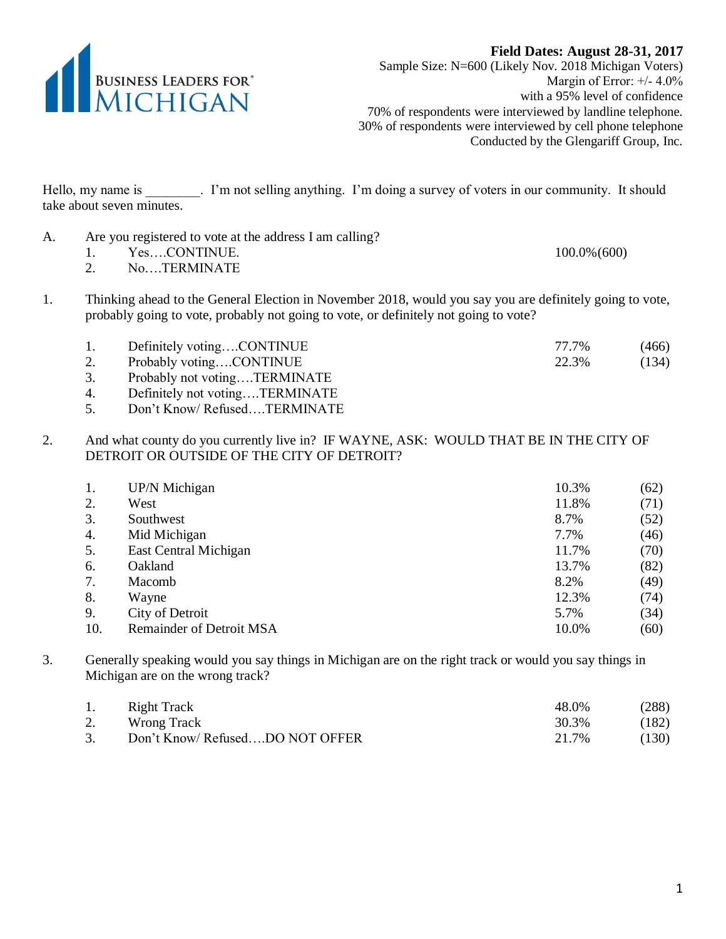

**Field Dates: August 28-31, 2017** Sample Size: N=600 (Likely Nov. 2018 Michigan Voters) Margin of Error: +/- 4.0% with a 95% level of confidence 70% of respondents were interviewed by landline telephone. 30% of respondents were interviewed by cell phone telephone Conducted by the Glengariff Group, Inc.

Hello, my name is . I'm not selling anything. I'm doing a survey of voters in our community. It should take about seven minutes.

| Are you registered to vote at the address I am calling? |                 |
|---------------------------------------------------------|-----------------|
| YesCONTINUE.                                            | $100.0\%$ (600) |
| <b>TED LIBILITY</b>                                     |                 |

- 2. No….TERMINATE
- 1. Thinking ahead to the General Election in November 2018, would you say you are definitely going to vote, probably going to vote, probably not going to vote, or definitely not going to vote?

| Definitely votingCONTINUE    | 77.7% | (466) |
|------------------------------|-------|-------|
| Probably votingCONTINUE      | 22.3% | (134) |
| Probably not votingTERMINATE |       |       |

- 4. Definitely not voting….TERMINATE
- 5. Don't Know/ Refused….TERMINATE
- 2. And what county do you currently live in? IF WAYNE, ASK: WOULD THAT BE IN THE CITY OF DETROIT OR OUTSIDE OF THE CITY OF DETROIT?

| 1.  | UP/N Michigan                   | 10.3% | (62) |
|-----|---------------------------------|-------|------|
| 2.  | West                            | 11.8% | (71) |
| 3.  | Southwest                       | 8.7%  | (52) |
| 4.  | Mid Michigan                    | 7.7%  | (46) |
| 5.  | East Central Michigan           | 11.7% | (70) |
| 6.  | Oakland                         | 13.7% | (82) |
| 7.  | Macomb                          | 8.2%  | (49) |
| 8.  | Wayne                           | 12.3% | (74) |
| 9.  | City of Detroit                 | 5.7%  | (34) |
| 10. | <b>Remainder of Detroit MSA</b> | 10.0% | (60) |

3. Generally speaking would you say things in Michigan are on the right track or would you say things in Michigan are on the wrong track?

|    | Right Track                    | 48.0% | (288) |
|----|--------------------------------|-------|-------|
| 2. | Wrong Track                    | 30.3% | (182) |
| 3. | Don't Know/RefusedDO NOT OFFER | 21.7% | (130) |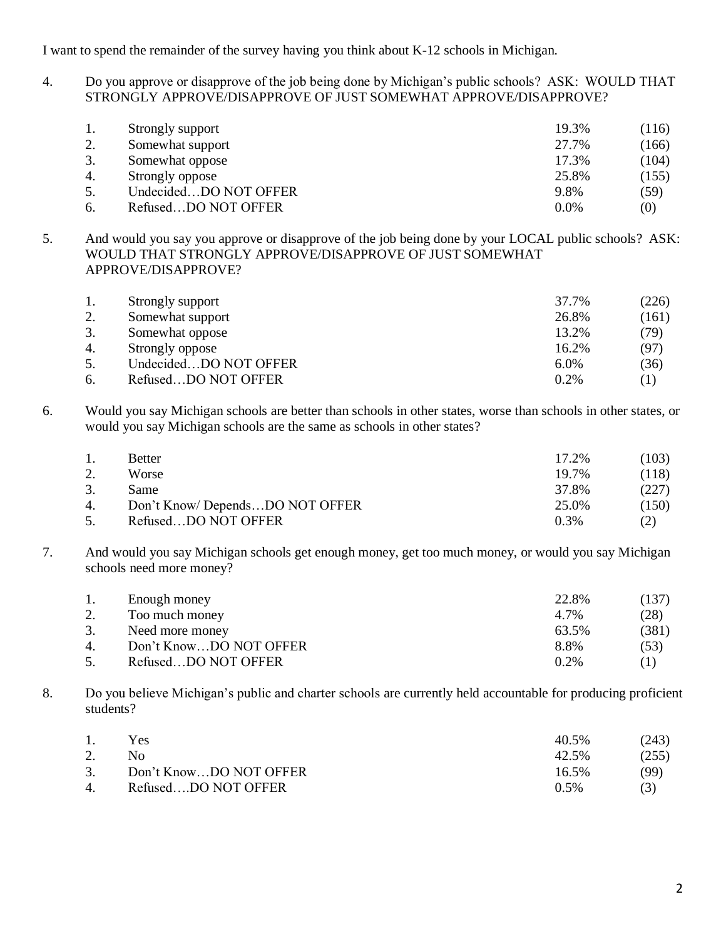I want to spend the remainder of the survey having you think about K-12 schools in Michigan.

4. Do you approve or disapprove of the job being done by Michigan's public schools? ASK: WOULD THAT STRONGLY APPROVE/DISAPPROVE OF JUST SOMEWHAT APPROVE/DISAPPROVE?

|    | Strongly support      | 19.3%   | (116) |
|----|-----------------------|---------|-------|
| 2. | Somewhat support      | 27.7%   | (166) |
|    | Somewhat oppose       | 17.3%   | (104) |
| 4. | Strongly oppose       | 25.8%   | (155) |
| 5. | UndecidedDO NOT OFFER | 9.8%    | (59)  |
|    | RefusedDO NOT OFFER   | $0.0\%$ | (0)   |

5. And would you say you approve or disapprove of the job being done by your LOCAL public schools? ASK: WOULD THAT STRONGLY APPROVE/DISAPPROVE OF JUST SOMEWHAT APPROVE/DISAPPROVE?

|     | Strongly support      | 37.7% | (226) |
|-----|-----------------------|-------|-------|
| ٠.  | Somewhat support      | 26.8% | (161) |
| .ບ. | Somewhat oppose       | 13.2% | (79)  |
| 4.  | Strongly oppose       | 16.2% | (97)  |
|     | UndecidedDO NOT OFFER | 6.0%  | (36)  |
| 6.  | RefusedDO NOT OFFER   | 0.2%  | (1)   |

6. Would you say Michigan schools are better than schools in other states, worse than schools in other states, or would you say Michigan schools are the same as schools in other states?

| -1. | <b>Better</b>                  | 17.2% | (103) |
|-----|--------------------------------|-------|-------|
| 2.  | Worse                          | 19.7% | (118) |
| 3.  | Same                           | 37.8% | (227) |
| 4.  | Don't Know/DependsDO NOT OFFER | 25.0% | (150) |
| 5.  | RefusedDO NOT OFFER            | 0.3%  | (2)   |

7. And would you say Michigan schools get enough money, get too much money, or would you say Michigan schools need more money?

|    | Enough money           | 22.8%   | (137) |
|----|------------------------|---------|-------|
|    | Too much money         | 4.7%    | (28)  |
| 3. | Need more money        | 63.5%   | (381) |
| 4. | Don't KnowDO NOT OFFER | 8.8%    | (53)  |
| 5. | RefusedDO NOT OFFER    | $0.2\%$ |       |

8. Do you believe Michigan's public and charter schools are currently held accountable for producing proficient students?

| 1.             | Yes                    | 40.5%   | (243) |
|----------------|------------------------|---------|-------|
|                | No.                    | 42.5%   | (255) |
| 3.             | Don't KnowDO NOT OFFER | 16.5%   | (99)  |
| $\overline{4}$ | RefusedDO NOT OFFER    | $0.5\%$ | (3)   |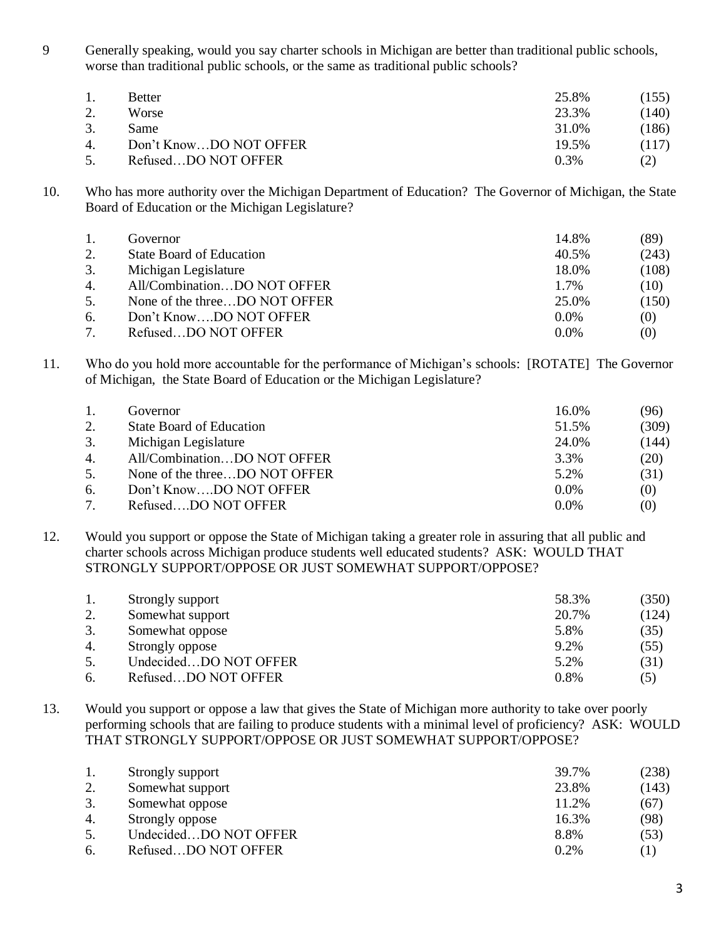9 Generally speaking, would you say charter schools in Michigan are better than traditional public schools, worse than traditional public schools, or the same as traditional public schools?

|        | <b>Better</b>          | 25.8%   | (155) |
|--------|------------------------|---------|-------|
|        | Worse                  | 23.3%   | (140) |
|        | Same                   | 31.0%   | (186) |
| 4.     | Don't KnowDO NOT OFFER | 19.5%   | (117) |
| $\sim$ | RefusedDO NOT OFFER    | $0.3\%$ | (2)   |

10. Who has more authority over the Michigan Department of Education? The Governor of Michigan, the State Board of Education or the Michigan Legislature?

|    | Governor                        | 14.8%   | (89)              |
|----|---------------------------------|---------|-------------------|
| 2. | <b>State Board of Education</b> | 40.5%   | (243)             |
| 3. | Michigan Legislature            | 18.0%   | (108)             |
| 4. | All/CombinationDO NOT OFFER     | 1.7%    | (10)              |
| 5. | None of the threeDO NOT OFFER   | 25.0%   | (150)             |
| 6. | Don't KnowDO NOT OFFER          | $0.0\%$ | (0)               |
|    | RefusedDO NOT OFFER             | $0.0\%$ | $\left( 0\right)$ |

11. Who do you hold more accountable for the performance of Michigan's schools: [ROTATE] The Governor of Michigan, the State Board of Education or the Michigan Legislature?

|    | Governor                        | 16.0%   | (96)  |
|----|---------------------------------|---------|-------|
|    | <b>State Board of Education</b> | 51.5%   | (309) |
| 3. | Michigan Legislature            | 24.0%   | (144) |
| 4. | All/CombinationDO NOT OFFER     | 3.3%    | (20)  |
| 5. | None of the threeDO NOT OFFER   | 5.2%    | (31)  |
| 6. | Don't KnowDO NOT OFFER          | $0.0\%$ | (0)   |
|    | RefusedDO NOT OFFER             | $0.0\%$ | (0)   |

12. Would you support or oppose the State of Michigan taking a greater role in assuring that all public and charter schools across Michigan produce students well educated students? ASK: WOULD THAT STRONGLY SUPPORT/OPPOSE OR JUST SOMEWHAT SUPPORT/OPPOSE?

|    | Strongly support      | 58.3% | (350) |
|----|-----------------------|-------|-------|
| ۷. | Somewhat support      | 20.7% | (124) |
|    | Somewhat oppose       | 5.8%  | (35)  |
| 4. | Strongly oppose       | 9.2%  | (55)  |
|    | UndecidedDO NOT OFFER | 5.2%  | (31)  |
|    | RefusedDO NOT OFFER   | 0.8%  | (5)   |

13. Would you support or oppose a law that gives the State of Michigan more authority to take over poorly performing schools that are failing to produce students with a minimal level of proficiency? ASK: WOULD THAT STRONGLY SUPPORT/OPPOSE OR JUST SOMEWHAT SUPPORT/OPPOSE?

|    | Strongly support      | 39.7% | (238) |
|----|-----------------------|-------|-------|
| 2. | Somewhat support      | 23.8% | (143) |
| 3. | Somewhat oppose       | 11.2% | (67)  |
| 4. | Strongly oppose       | 16.3% | (98)  |
| 5. | UndecidedDO NOT OFFER | 8.8%  | (53)  |
| 6. | RefusedDO NOT OFFER   | 0.2%  |       |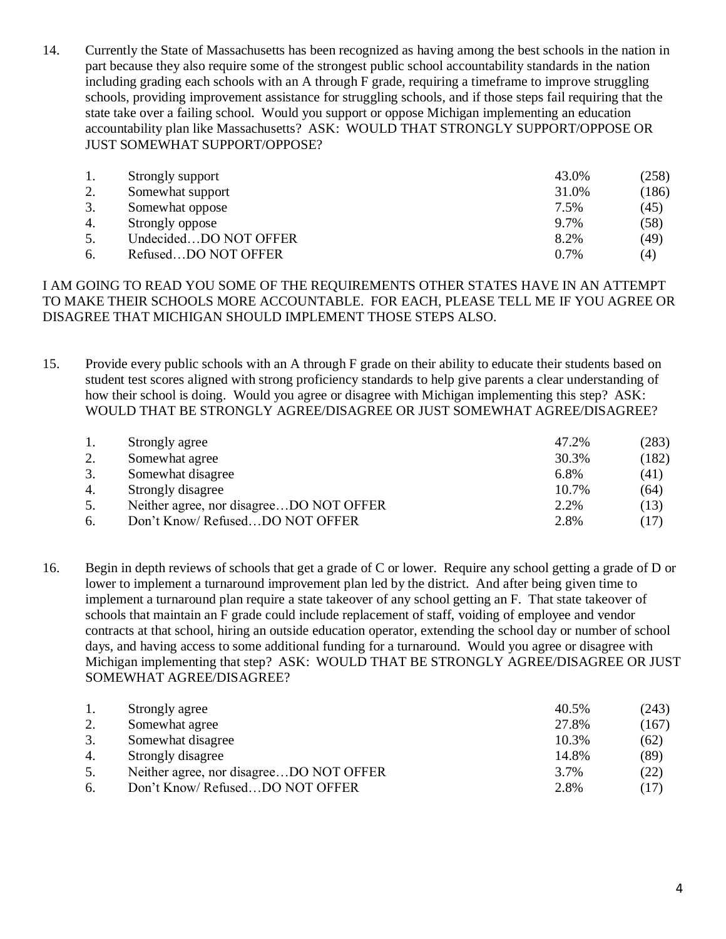14. Currently the State of Massachusetts has been recognized as having among the best schools in the nation in part because they also require some of the strongest public school accountability standards in the nation including grading each schools with an A through F grade, requiring a timeframe to improve struggling schools, providing improvement assistance for struggling schools, and if those steps fail requiring that the state take over a failing school. Would you support or oppose Michigan implementing an education accountability plan like Massachusetts? ASK: WOULD THAT STRONGLY SUPPORT/OPPOSE OR JUST SOMEWHAT SUPPORT/OPPOSE?

|    | Strongly support      | 43.0% | (258) |
|----|-----------------------|-------|-------|
| 2. | Somewhat support      | 31.0% | (186) |
|    | Somewhat oppose       | 7.5%  | (45)  |
| 4. | Strongly oppose       | 9.7%  | (58)  |
| 5. | UndecidedDO NOT OFFER | 8.2%  | (49)  |
| 6. | RefusedDO NOT OFFER   | 0.7%  | (4)   |

## I AM GOING TO READ YOU SOME OF THE REQUIREMENTS OTHER STATES HAVE IN AN ATTEMPT TO MAKE THEIR SCHOOLS MORE ACCOUNTABLE. FOR EACH, PLEASE TELL ME IF YOU AGREE OR DISAGREE THAT MICHIGAN SHOULD IMPLEMENT THOSE STEPS ALSO.

15. Provide every public schools with an A through F grade on their ability to educate their students based on student test scores aligned with strong proficiency standards to help give parents a clear understanding of how their school is doing. Would you agree or disagree with Michigan implementing this step? ASK: WOULD THAT BE STRONGLY AGREE/DISAGREE OR JUST SOMEWHAT AGREE/DISAGREE?

| (182) |
|-------|
|       |
| (41)  |
| (64)  |
| (13)  |
| (17)  |
|       |

16. Begin in depth reviews of schools that get a grade of C or lower. Require any school getting a grade of D or lower to implement a turnaround improvement plan led by the district. And after being given time to implement a turnaround plan require a state takeover of any school getting an F. That state takeover of schools that maintain an F grade could include replacement of staff, voiding of employee and vendor contracts at that school, hiring an outside education operator, extending the school day or number of school days, and having access to some additional funding for a turnaround. Would you agree or disagree with Michigan implementing that step? ASK: WOULD THAT BE STRONGLY AGREE/DISAGREE OR JUST SOMEWHAT AGREE/DISAGREE?

|    | Strongly agree                          | 40.5% | (243) |
|----|-----------------------------------------|-------|-------|
| 2. | Somewhat agree                          | 27.8% | (167) |
| 3. | Somewhat disagree                       | 10.3% | (62)  |
| 4. | Strongly disagree                       | 14.8% | (89)  |
| 5. | Neither agree, nor disagreeDO NOT OFFER | 3.7%  | (22)  |
| 6. | Don't Know/RefusedDO NOT OFFER          | 2.8%  | (17)  |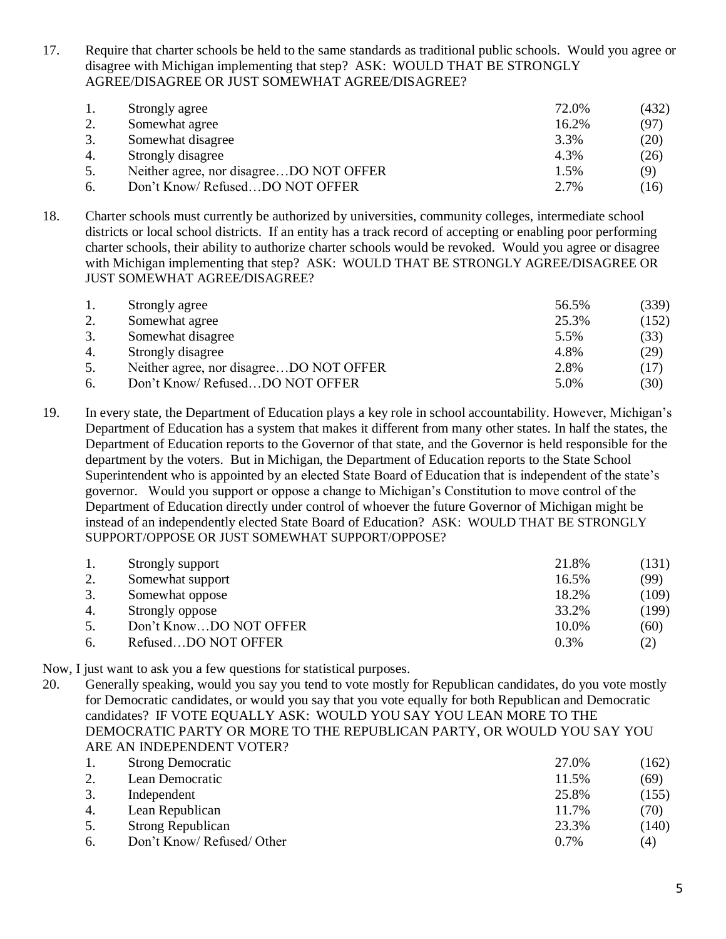17. Require that charter schools be held to the same standards as traditional public schools. Would you agree or disagree with Michigan implementing that step? ASK: WOULD THAT BE STRONGLY AGREE/DISAGREE OR JUST SOMEWHAT AGREE/DISAGREE?

|    | Strongly agree                          | 72.0% | (432) |
|----|-----------------------------------------|-------|-------|
| 2. | Somewhat agree                          | 16.2% | (97)  |
|    | Somewhat disagree                       | 3.3%  | (20)  |
| 4. | Strongly disagree                       | 4.3%  | (26)  |
| 5. | Neither agree, nor disagreeDO NOT OFFER | 1.5%  | (9)   |
| 6. | Don't Know/RefusedDO NOT OFFER          | 2.7%  | (16)  |

18. Charter schools must currently be authorized by universities, community colleges, intermediate school districts or local school districts. If an entity has a track record of accepting or enabling poor performing charter schools, their ability to authorize charter schools would be revoked. Would you agree or disagree with Michigan implementing that step? ASK: WOULD THAT BE STRONGLY AGREE/DISAGREE OR JUST SOMEWHAT AGREE/DISAGREE?

|    | Strongly agree                          | 56.5% | (339) |
|----|-----------------------------------------|-------|-------|
| 2. | Somewhat agree                          | 25.3% | (152) |
| 3. | Somewhat disagree                       | 5.5%  | (33)  |
| 4. | Strongly disagree                       | 4.8%  | (29)  |
| 5. | Neither agree, nor disagreeDO NOT OFFER | 2.8%  | (17)  |
| 6. | Don't Know/RefusedDO NOT OFFER          | 5.0%  | (30)  |

19. In every state, the Department of Education plays a key role in school accountability. However, Michigan's Department of Education has a system that makes it different from many other states. In half the states, the Department of Education reports to the Governor of that state, and the Governor is held responsible for the department by the voters. But in Michigan, the Department of Education reports to the State School Superintendent who is appointed by an elected State Board of Education that is independent of the state's governor. Would you support or oppose a change to Michigan's Constitution to move control of the Department of Education directly under control of whoever the future Governor of Michigan might be instead of an independently elected State Board of Education? ASK: WOULD THAT BE STRONGLY SUPPORT/OPPOSE OR JUST SOMEWHAT SUPPORT/OPPOSE?

|    | Strongly support       | 21.8% | (131) |
|----|------------------------|-------|-------|
|    | Somewhat support       | 16.5% | (99)  |
|    | Somewhat oppose        | 18.2% | (109) |
| 4. | Strongly oppose        | 33.2% | (199) |
| 5. | Don't KnowDO NOT OFFER | 10.0% | (60)  |
| 6. | RefusedDO NOT OFFER    | 0.3%  | (2)   |

Now, I just want to ask you a few questions for statistical purposes.

20. Generally speaking, would you say you tend to vote mostly for Republican candidates, do you vote mostly for Democratic candidates, or would you say that you vote equally for both Republican and Democratic candidates? IF VOTE EQUALLY ASK: WOULD YOU SAY YOU LEAN MORE TO THE DEMOCRATIC PARTY OR MORE TO THE REPUBLICAN PARTY, OR WOULD YOU SAY YOU ARE AN INDEPENDENT VOTER?

|    | <b>Strong Democratic</b>   | 27.0%   | (162) |
|----|----------------------------|---------|-------|
|    | Lean Democratic            | 11.5%   | (69)  |
| 3. | Independent                | 25.8%   | (155) |
| 4. | Lean Republican            | 11.7%   | (70)  |
| 5. | <b>Strong Republican</b>   | 23.3%   | (140) |
| 6. | Don't Know/ Refused/ Other | $0.7\%$ | (4)   |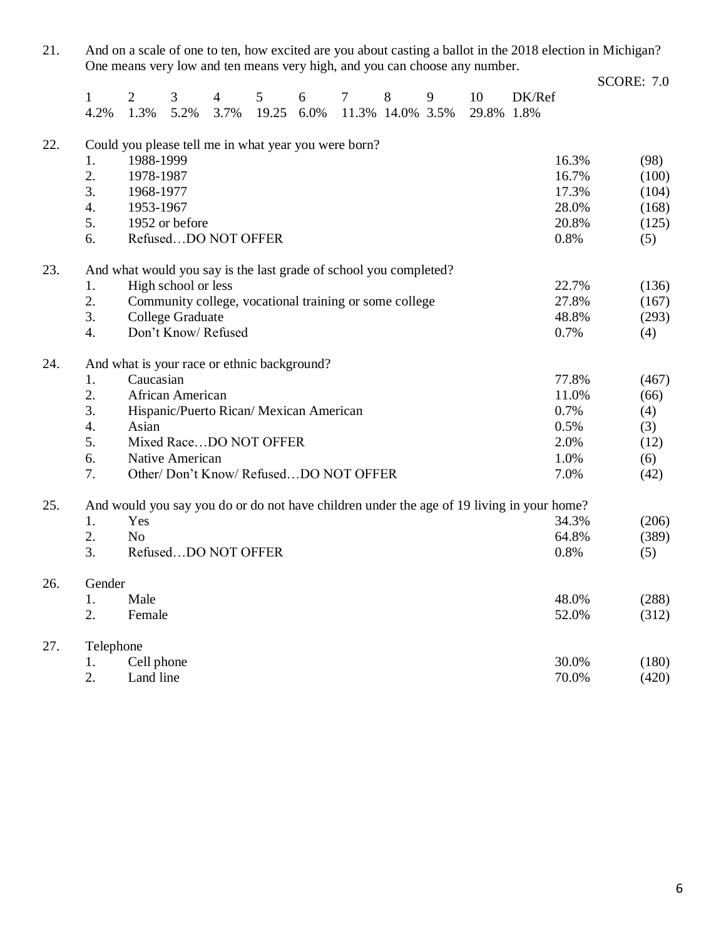21. And on a scale of one to ten, how excited are you about casting a ballot in the 2018 election in Michigan? One means very low and ten means very high, and you can choose any number. SCORE: 7.0

|     | $\mathbf{1}$<br>4.2%                                                                      | $\overline{2}$<br>1.3%                               | 3<br>5.2%           | $\overline{4}$<br>3.7% | 5<br>19.25                              | 6<br>6.0% | 7                                                                 | 8<br>11.3% 14.0% 3.5% | 9 | 10<br>29.8% | DK/Ref<br>1.8% |       |       |
|-----|-------------------------------------------------------------------------------------------|------------------------------------------------------|---------------------|------------------------|-----------------------------------------|-----------|-------------------------------------------------------------------|-----------------------|---|-------------|----------------|-------|-------|
|     |                                                                                           |                                                      |                     |                        |                                         |           |                                                                   |                       |   |             |                |       |       |
| 22. |                                                                                           | Could you please tell me in what year you were born? |                     |                        |                                         |           |                                                                   |                       |   |             |                |       |       |
|     | 1.                                                                                        | 1988-1999                                            |                     |                        |                                         |           |                                                                   |                       |   |             |                | 16.3% | (98)  |
|     | 2.                                                                                        | 1978-1987                                            |                     |                        |                                         |           |                                                                   |                       |   |             |                | 16.7% | (100) |
|     | 3.                                                                                        | 1968-1977                                            |                     |                        |                                         |           |                                                                   |                       |   |             |                | 17.3% | (104) |
|     | 4.                                                                                        | 1953-1967                                            |                     |                        |                                         |           |                                                                   |                       |   |             |                | 28.0% | (168) |
|     | 5.                                                                                        |                                                      | 1952 or before      |                        |                                         |           |                                                                   |                       |   |             |                | 20.8% | (125) |
|     | 6.                                                                                        |                                                      | RefusedDO NOT OFFER |                        |                                         |           |                                                                   |                       |   |             |                | 0.8%  | (5)   |
| 23. |                                                                                           |                                                      |                     |                        |                                         |           | And what would you say is the last grade of school you completed? |                       |   |             |                |       |       |
|     | 1.                                                                                        |                                                      | High school or less |                        |                                         |           |                                                                   |                       |   |             |                | 22.7% | (136) |
|     | 2.                                                                                        |                                                      |                     |                        |                                         |           | Community college, vocational training or some college            |                       |   |             |                | 27.8% | (167) |
|     | 3.                                                                                        |                                                      | College Graduate    |                        |                                         |           |                                                                   |                       |   |             |                | 48.8% | (293) |
|     | $\overline{4}$ .                                                                          |                                                      | Don't Know/Refused  |                        |                                         |           |                                                                   |                       |   |             |                | 0.7%  | (4)   |
| 24. |                                                                                           | And what is your race or ethnic background?          |                     |                        |                                         |           |                                                                   |                       |   |             |                |       |       |
|     | 1.                                                                                        | Caucasian                                            |                     |                        |                                         |           |                                                                   |                       |   |             |                | 77.8% | (467) |
|     | 2.                                                                                        |                                                      | African American    |                        |                                         |           |                                                                   |                       |   |             |                | 11.0% | (66)  |
|     | 3.                                                                                        |                                                      |                     |                        | Hispanic/Puerto Rican/ Mexican American |           |                                                                   |                       |   |             |                | 0.7%  | (4)   |
|     | $\overline{4}$ .                                                                          | Asian                                                |                     |                        |                                         |           |                                                                   |                       |   |             |                | 0.5%  | (3)   |
|     | 5.                                                                                        |                                                      |                     |                        | Mixed RaceDO NOT OFFER                  |           |                                                                   |                       |   |             |                | 2.0%  | (12)  |
|     | 6.                                                                                        |                                                      | Native American     |                        |                                         |           |                                                                   |                       |   |             |                | 1.0%  | (6)   |
|     | 7.                                                                                        |                                                      |                     |                        |                                         |           | Other/ Don't Know/ RefusedDO NOT OFFER                            |                       |   |             |                | 7.0%  | (42)  |
| 25. | And would you say you do or do not have children under the age of 19 living in your home? |                                                      |                     |                        |                                         |           |                                                                   |                       |   |             |                |       |       |
|     | 1.                                                                                        | Yes                                                  |                     |                        |                                         |           |                                                                   |                       |   |             |                | 34.3% | (206) |
|     | 2.                                                                                        | N <sub>o</sub>                                       |                     |                        |                                         |           |                                                                   |                       |   |             |                | 64.8% | (389) |
|     | 3.                                                                                        |                                                      | RefusedDO NOT OFFER |                        |                                         |           |                                                                   |                       |   |             |                | 0.8%  | (5)   |
| 26. | Gender                                                                                    |                                                      |                     |                        |                                         |           |                                                                   |                       |   |             |                |       |       |
|     | 1.                                                                                        | Male                                                 |                     |                        |                                         |           |                                                                   |                       |   |             |                | 48.0% | (288) |
|     | 2.                                                                                        | Female                                               |                     |                        |                                         |           |                                                                   |                       |   |             |                | 52.0% | (312) |
| 27. | Telephone                                                                                 |                                                      |                     |                        |                                         |           |                                                                   |                       |   |             |                |       |       |
|     | 1.                                                                                        | Cell phone                                           |                     |                        |                                         |           |                                                                   |                       |   |             |                | 30.0% | (180) |
|     | 2.                                                                                        | Land line                                            |                     |                        |                                         |           |                                                                   |                       |   |             |                | 70.0% | (420) |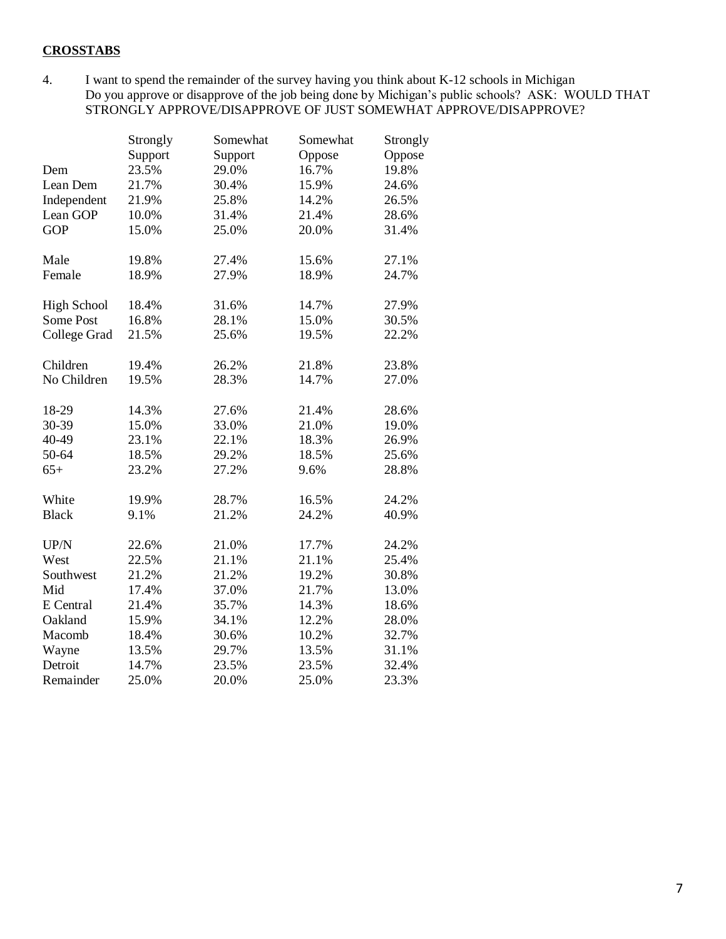## **CROSSTABS**

4. I want to spend the remainder of the survey having you think about K-12 schools in Michigan Do you approve or disapprove of the job being done by Michigan's public schools? ASK: WOULD THAT STRONGLY APPROVE/DISAPPROVE OF JUST SOMEWHAT APPROVE/DISAPPROVE?

|                    | Strongly | Somewhat | Somewhat | Strongly |
|--------------------|----------|----------|----------|----------|
|                    | Support  | Support  | Oppose   | Oppose   |
| Dem                | 23.5%    | 29.0%    | 16.7%    | 19.8%    |
| Lean Dem           | 21.7%    | 30.4%    | 15.9%    | 24.6%    |
| Independent        | 21.9%    | 25.8%    | 14.2%    | 26.5%    |
| Lean GOP           | 10.0%    | 31.4%    | 21.4%    | 28.6%    |
| <b>GOP</b>         | 15.0%    | 25.0%    | 20.0%    | 31.4%    |
| Male               | 19.8%    | 27.4%    | 15.6%    | 27.1%    |
| Female             | 18.9%    | 27.9%    | 18.9%    | 24.7%    |
| <b>High School</b> | 18.4%    | 31.6%    | 14.7%    | 27.9%    |
| Some Post          | 16.8%    | 28.1%    | 15.0%    | 30.5%    |
| College Grad       | 21.5%    | 25.6%    | 19.5%    | 22.2%    |
| Children           | 19.4%    | 26.2%    | 21.8%    | 23.8%    |
| No Children        | 19.5%    | 28.3%    | 14.7%    | 27.0%    |
| 18-29              | 14.3%    | 27.6%    | 21.4%    | 28.6%    |
| 30-39              | 15.0%    | 33.0%    | 21.0%    | 19.0%    |
| 40-49              | 23.1%    | 22.1%    | 18.3%    | 26.9%    |
| 50-64              | 18.5%    | 29.2%    | 18.5%    | 25.6%    |
| $65+$              | 23.2%    | 27.2%    | 9.6%     | 28.8%    |
| White              | 19.9%    | 28.7%    | 16.5%    | 24.2%    |
| <b>Black</b>       | 9.1%     | 21.2%    | 24.2%    | 40.9%    |
| UP/N               | 22.6%    | 21.0%    | 17.7%    | 24.2%    |
| West               | 22.5%    | 21.1%    | 21.1%    | 25.4%    |
| Southwest          | 21.2%    | 21.2%    | 19.2%    | 30.8%    |
| Mid                | 17.4%    | 37.0%    | 21.7%    | 13.0%    |
| E Central          | 21.4%    | 35.7%    | 14.3%    | 18.6%    |
| Oakland            | 15.9%    | 34.1%    | 12.2%    | 28.0%    |
| Macomb             | 18.4%    | 30.6%    | 10.2%    | 32.7%    |
| Wayne              | 13.5%    | 29.7%    | 13.5%    | 31.1%    |
| Detroit            | 14.7%    | 23.5%    | 23.5%    | 32.4%    |
| Remainder          | 25.0%    | 20.0%    | 25.0%    | 23.3%    |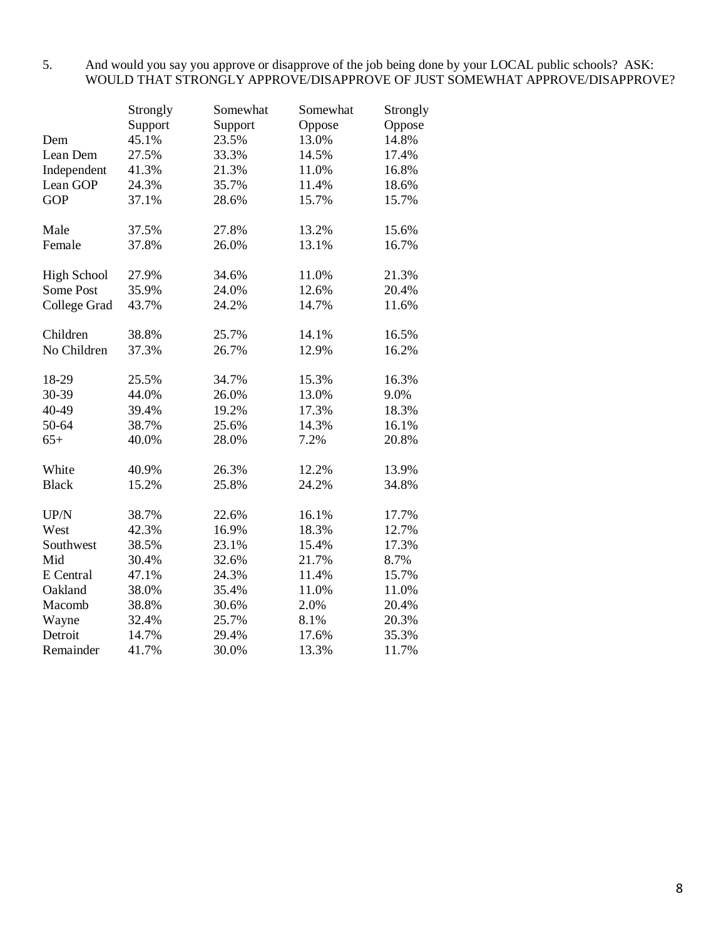## 5. And would you say you approve or disapprove of the job being done by your LOCAL public schools? ASK: WOULD THAT STRONGLY APPROVE/DISAPPROVE OF JUST SOMEWHAT APPROVE/DISAPPROVE?

|                    | Strongly | Somewhat | Somewhat | Strongly |
|--------------------|----------|----------|----------|----------|
|                    | Support  | Support  | Oppose   | Oppose   |
| Dem                | 45.1%    | 23.5%    | 13.0%    | 14.8%    |
| Lean Dem           | 27.5%    | 33.3%    | 14.5%    | 17.4%    |
| Independent        | 41.3%    | 21.3%    | 11.0%    | 16.8%    |
| Lean GOP           | 24.3%    | 35.7%    | 11.4%    | 18.6%    |
| <b>GOP</b>         | 37.1%    | 28.6%    | 15.7%    | 15.7%    |
| Male               | 37.5%    | 27.8%    | 13.2%    | 15.6%    |
| Female             | 37.8%    | 26.0%    | 13.1%    | 16.7%    |
| <b>High School</b> | 27.9%    | 34.6%    | 11.0%    | 21.3%    |
| Some Post          | 35.9%    | 24.0%    | 12.6%    | 20.4%    |
| College Grad       | 43.7%    | 24.2%    | 14.7%    | 11.6%    |
| Children           | 38.8%    | 25.7%    | 14.1%    | 16.5%    |
| No Children        | 37.3%    | 26.7%    | 12.9%    | 16.2%    |
| 18-29              | 25.5%    | 34.7%    | 15.3%    | 16.3%    |
| 30-39              | 44.0%    | 26.0%    | 13.0%    | 9.0%     |
| 40-49              | 39.4%    | 19.2%    | 17.3%    | 18.3%    |
| 50-64              | 38.7%    | 25.6%    | 14.3%    | 16.1%    |
| $65+$              | 40.0%    | 28.0%    | 7.2%     | 20.8%    |
| White              | 40.9%    | 26.3%    | 12.2%    | 13.9%    |
| <b>Black</b>       | 15.2%    | 25.8%    | 24.2%    | 34.8%    |
| UP/N               | 38.7%    | 22.6%    | 16.1%    | 17.7%    |
| West               | 42.3%    | 16.9%    | 18.3%    | 12.7%    |
| Southwest          | 38.5%    | 23.1%    | 15.4%    | 17.3%    |
| Mid                | 30.4%    | 32.6%    | 21.7%    | 8.7%     |
| E Central          | 47.1%    | 24.3%    | 11.4%    | 15.7%    |
| Oakland            | 38.0%    | 35.4%    | 11.0%    | 11.0%    |
| Macomb             | 38.8%    | 30.6%    | 2.0%     | 20.4%    |
| Wayne              | 32.4%    | 25.7%    | 8.1%     | 20.3%    |
| Detroit            | 14.7%    | 29.4%    | 17.6%    | 35.3%    |
| Remainder          | 41.7%    | 30.0%    | 13.3%    | 11.7%    |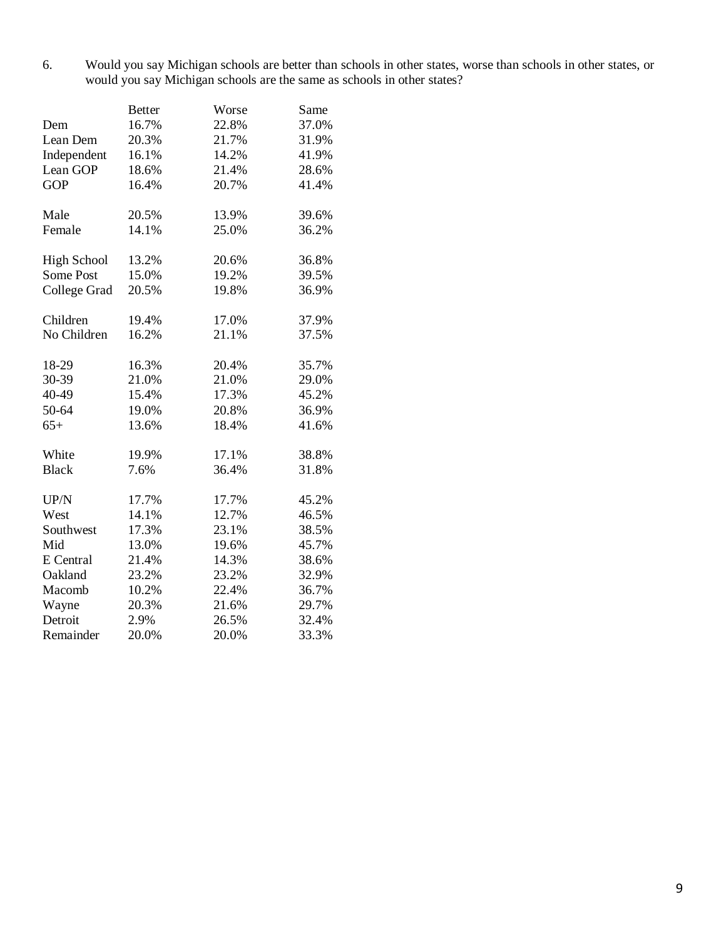6. Would you say Michigan schools are better than schools in other states, worse than schools in other states, or would you say Michigan schools are the same as schools in other states?

|                     | <b>Better</b> | Worse | Same  |
|---------------------|---------------|-------|-------|
| Dem                 | 16.7%         | 22.8% | 37.0% |
| Lean Dem            | 20.3%         | 21.7% | 31.9% |
| Independent         | 16.1%         | 14.2% | 41.9% |
| Lean GOP            | 18.6%         | 21.4% | 28.6% |
| <b>GOP</b>          | 16.4%         | 20.7% | 41.4% |
| Male                | 20.5%         | 13.9% | 39.6% |
| Female              | 14.1%         | 25.0% | 36.2% |
| <b>High School</b>  | 13.2%         | 20.6% | 36.8% |
| Some Post           | 15.0%         | 19.2% | 39.5% |
| <b>College Grad</b> | 20.5%         | 19.8% | 36.9% |
| Children            | 19.4%         | 17.0% | 37.9% |
| No Children         | 16.2%         | 21.1% | 37.5% |
| 18-29               | 16.3%         | 20.4% | 35.7% |
| 30-39               | 21.0%         | 21.0% | 29.0% |
| 40-49               | 15.4%         | 17.3% | 45.2% |
| 50-64               | 19.0%         | 20.8% | 36.9% |
| $65+$               | 13.6%         | 18.4% | 41.6% |
| White               | 19.9%         | 17.1% | 38.8% |
| <b>Black</b>        | 7.6%          | 36.4% | 31.8% |
| UP/N                | 17.7%         | 17.7% | 45.2% |
| West                | 14.1%         | 12.7% | 46.5% |
| Southwest           | 17.3%         | 23.1% | 38.5% |
| Mid                 | 13.0%         | 19.6% | 45.7% |
| E Central           | 21.4%         | 14.3% | 38.6% |
| Oakland             | 23.2%         | 23.2% | 32.9% |
| Macomb              | 10.2%         | 22.4% | 36.7% |
| Wayne               | 20.3%         | 21.6% | 29.7% |
| Detroit             | 2.9%          | 26.5% | 32.4% |
| Remainder           | 20.0%         | 20.0% | 33.3% |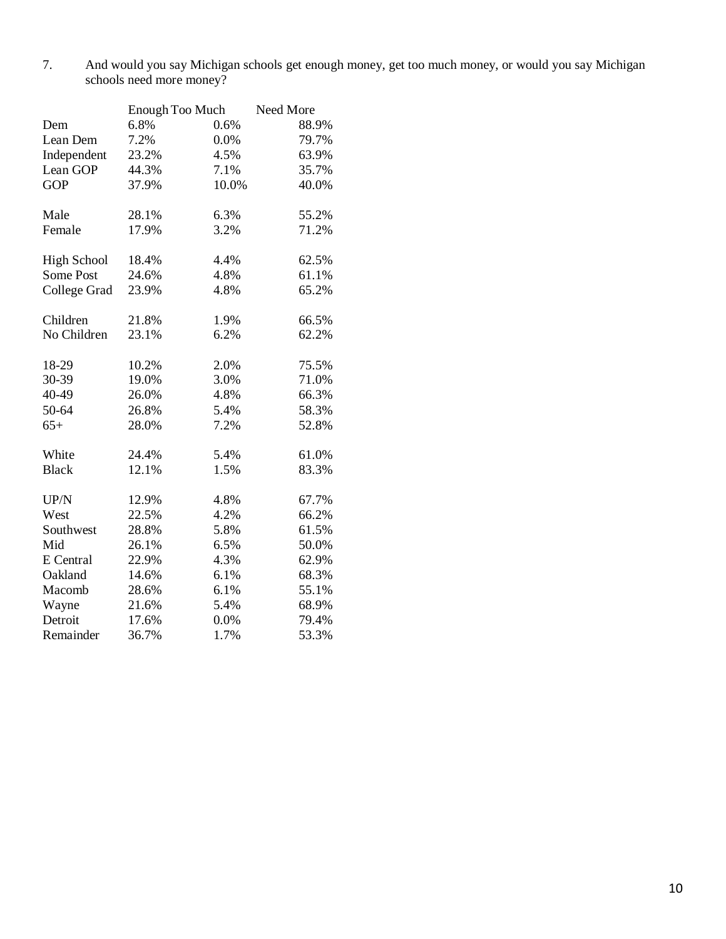7. And would you say Michigan schools get enough money, get too much money, or would you say Michigan schools need more money?

|                    | Enough Too Much |       | Need More |
|--------------------|-----------------|-------|-----------|
| Dem                | 6.8%            | 0.6%  | 88.9%     |
| Lean Dem           | 7.2%            | 0.0%  | 79.7%     |
| Independent        | 23.2%           | 4.5%  | 63.9%     |
| Lean GOP           | 44.3%           | 7.1%  | 35.7%     |
| <b>GOP</b>         | 37.9%           | 10.0% | 40.0%     |
| Male               | 28.1%           | 6.3%  | 55.2%     |
| Female             | 17.9%           | 3.2%  | 71.2%     |
| <b>High School</b> | 18.4%           | 4.4%  | 62.5%     |
| Some Post          | 24.6%           | 4.8%  | 61.1%     |
| College Grad       | 23.9%           | 4.8%  | 65.2%     |
| Children           | 21.8%           | 1.9%  | 66.5%     |
| No Children        | 23.1%           | 6.2%  | 62.2%     |
| 18-29              | 10.2%           | 2.0%  | 75.5%     |
| 30-39              | 19.0%           | 3.0%  | 71.0%     |
| 40-49              | 26.0%           | 4.8%  | 66.3%     |
| 50-64              | 26.8%           | 5.4%  | 58.3%     |
| $65+$              | 28.0%           | 7.2%  | 52.8%     |
| White              | 24.4%           | 5.4%  | 61.0%     |
| <b>Black</b>       | 12.1%           | 1.5%  | 83.3%     |
| UP/N               | 12.9%           | 4.8%  | 67.7%     |
| West               | 22.5%           | 4.2%  | 66.2%     |
| Southwest          | 28.8%           | 5.8%  | 61.5%     |
| Mid                | 26.1%           | 6.5%  | 50.0%     |
| E Central          | 22.9%           | 4.3%  | 62.9%     |
| Oakland            | 14.6%           | 6.1%  | 68.3%     |
| Macomb             | 28.6%           | 6.1%  | 55.1%     |
| Wayne              | 21.6%           | 5.4%  | 68.9%     |
| Detroit            | 17.6%           | 0.0%  | 79.4%     |
| Remainder          | 36.7%           | 1.7%  | 53.3%     |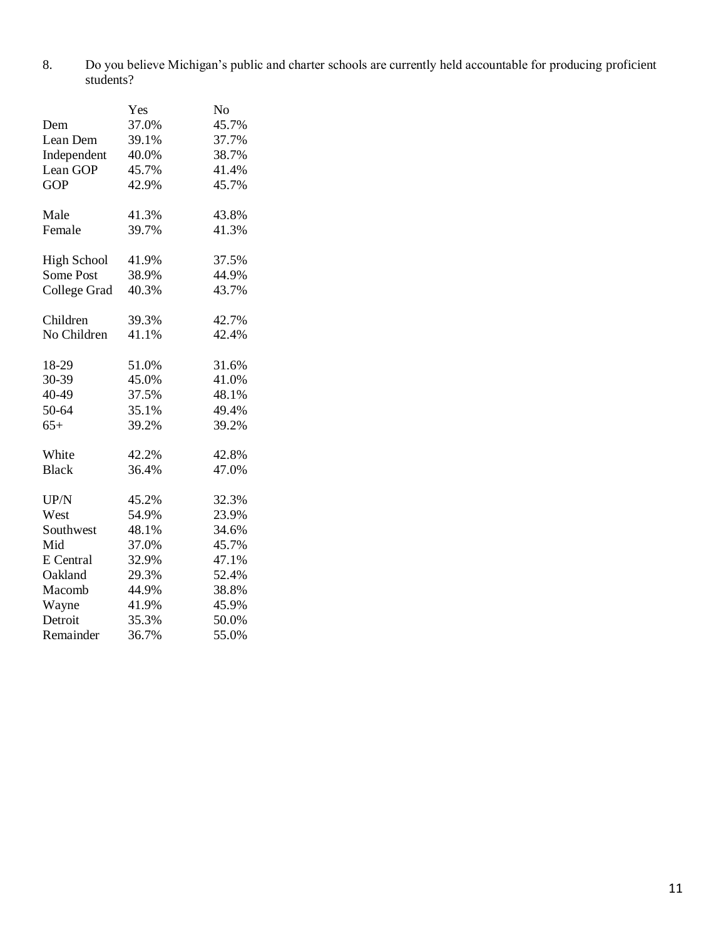8. Do you believe Michigan's public and charter schools are currently held accountable for producing proficient students?

|                    | Yes   | No    |
|--------------------|-------|-------|
| Dem                | 37.0% | 45.7% |
| Lean Dem           | 39.1% | 37.7% |
| Independent        | 40.0% | 38.7% |
| Lean GOP           | 45.7% | 41.4% |
| <b>GOP</b>         | 42.9% | 45.7% |
| Male               | 41.3% | 43.8% |
| Female             | 39.7% | 41.3% |
| <b>High School</b> | 41.9% | 37.5% |
| Some Post          | 38.9% | 44.9% |
| College Grad       | 40.3% | 43.7% |
| Children           | 39.3% | 42.7% |
| No Children        | 41.1% | 42.4% |
| 18-29              | 51.0% | 31.6% |
| 30-39              | 45.0% | 41.0% |
| 40-49              | 37.5% | 48.1% |
| 50-64              | 35.1% | 49.4% |
| $65+$              | 39.2% | 39.2% |
| White              | 42.2% | 42.8% |
| <b>Black</b>       | 36.4% | 47.0% |
| UP/N               | 45.2% | 32.3% |
| West               | 54.9% | 23.9% |
| Southwest          | 48.1% | 34.6% |
| Mid                | 37.0% | 45.7% |
| E Central          | 32.9% | 47.1% |
| Oakland            | 29.3% | 52.4% |
| Macomb             | 44.9% | 38.8% |
| Wayne              | 41.9% | 45.9% |
| Detroit            | 35.3% | 50.0% |
| Remainder          | 36.7% | 55.0% |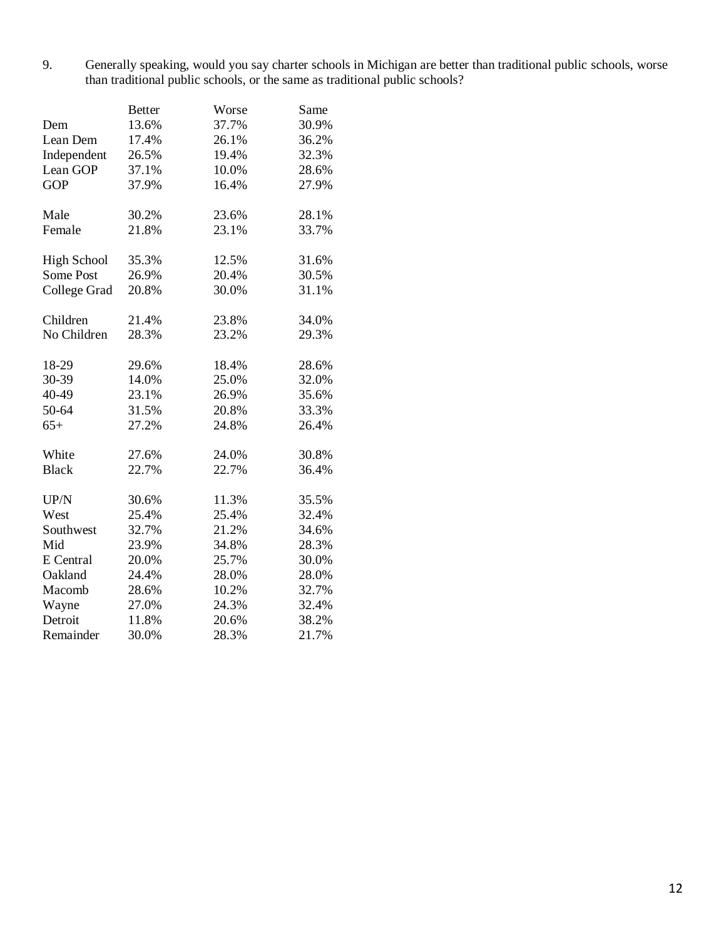9. Generally speaking, would you say charter schools in Michigan are better than traditional public schools, worse than traditional public schools, or the same as traditional public schools?

|                     | <b>Better</b> | Worse | Same  |
|---------------------|---------------|-------|-------|
| Dem                 | 13.6%         | 37.7% | 30.9% |
| Lean Dem            | 17.4%         | 26.1% | 36.2% |
| Independent         | 26.5%         | 19.4% | 32.3% |
| Lean GOP            | 37.1%         | 10.0% | 28.6% |
| <b>GOP</b>          | 37.9%         | 16.4% | 27.9% |
| Male                | 30.2%         | 23.6% | 28.1% |
| Female              | 21.8%         | 23.1% | 33.7% |
| <b>High School</b>  | 35.3%         | 12.5% | 31.6% |
| Some Post           | 26.9%         | 20.4% | 30.5% |
| <b>College Grad</b> | 20.8%         | 30.0% | 31.1% |
| Children            | 21.4%         | 23.8% | 34.0% |
| No Children         | 28.3%         | 23.2% | 29.3% |
| 18-29               | 29.6%         | 18.4% | 28.6% |
| 30-39               | 14.0%         | 25.0% | 32.0% |
| 40-49               | 23.1%         | 26.9% | 35.6% |
| 50-64               | 31.5%         | 20.8% | 33.3% |
| $65+$               | 27.2%         | 24.8% | 26.4% |
| White               | 27.6%         | 24.0% | 30.8% |
| <b>Black</b>        | 22.7%         | 22.7% | 36.4% |
| UP/N                | 30.6%         | 11.3% | 35.5% |
| West                | 25.4%         | 25.4% | 32.4% |
| Southwest           | 32.7%         | 21.2% | 34.6% |
| Mid                 | 23.9%         | 34.8% | 28.3% |
| E Central           | 20.0%         | 25.7% | 30.0% |
| Oakland             | 24.4%         | 28.0% | 28.0% |
| Macomb              | 28.6%         | 10.2% | 32.7% |
| Wayne               | 27.0%         | 24.3% | 32.4% |
| Detroit             | 11.8%         | 20.6% | 38.2% |
| Remainder           | 30.0%         | 28.3% | 21.7% |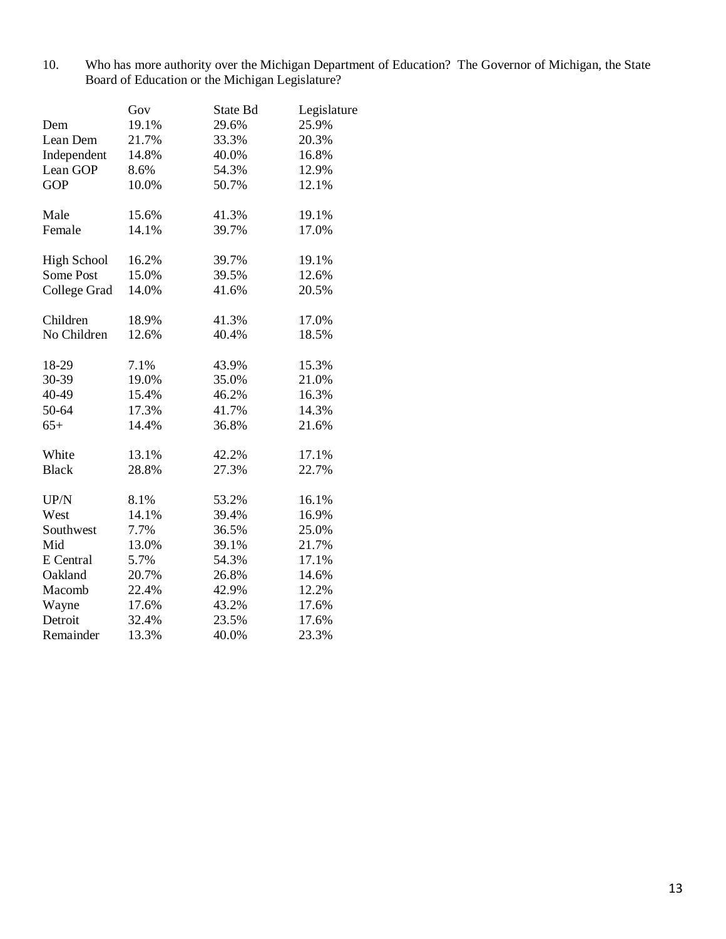10. Who has more authority over the Michigan Department of Education? The Governor of Michigan, the State Board of Education or the Michigan Legislature?

|                    | Gov   | State Bd | Legislature |
|--------------------|-------|----------|-------------|
| Dem                | 19.1% | 29.6%    | 25.9%       |
| Lean Dem           | 21.7% | 33.3%    | 20.3%       |
| Independent        | 14.8% | 40.0%    | 16.8%       |
| Lean GOP           | 8.6%  | 54.3%    | 12.9%       |
| <b>GOP</b>         | 10.0% | 50.7%    | 12.1%       |
| Male               | 15.6% | 41.3%    | 19.1%       |
| Female             | 14.1% | 39.7%    | 17.0%       |
| <b>High School</b> | 16.2% | 39.7%    | 19.1%       |
| Some Post          | 15.0% | 39.5%    | 12.6%       |
| College Grad       | 14.0% | 41.6%    | 20.5%       |
| Children           | 18.9% | 41.3%    | 17.0%       |
| No Children        | 12.6% | 40.4%    | 18.5%       |
| 18-29              | 7.1%  | 43.9%    | 15.3%       |
| 30-39              | 19.0% | 35.0%    | 21.0%       |
| 40-49              | 15.4% | 46.2%    | 16.3%       |
| 50-64              | 17.3% | 41.7%    | 14.3%       |
| $65+$              | 14.4% | 36.8%    | 21.6%       |
| White              | 13.1% | 42.2%    | 17.1%       |
| <b>Black</b>       | 28.8% | 27.3%    | 22.7%       |
| UP/N               | 8.1%  | 53.2%    | 16.1%       |
| West               | 14.1% | 39.4%    | 16.9%       |
| Southwest          | 7.7%  | 36.5%    | 25.0%       |
| Mid                | 13.0% | 39.1%    | 21.7%       |
| E Central          | 5.7%  | 54.3%    | 17.1%       |
| Oakland            | 20.7% | 26.8%    | 14.6%       |
| Macomb             | 22.4% | 42.9%    | 12.2%       |
| Wayne              | 17.6% | 43.2%    | 17.6%       |
| Detroit            | 32.4% | 23.5%    | 17.6%       |
| Remainder          | 13.3% | 40.0%    | 23.3%       |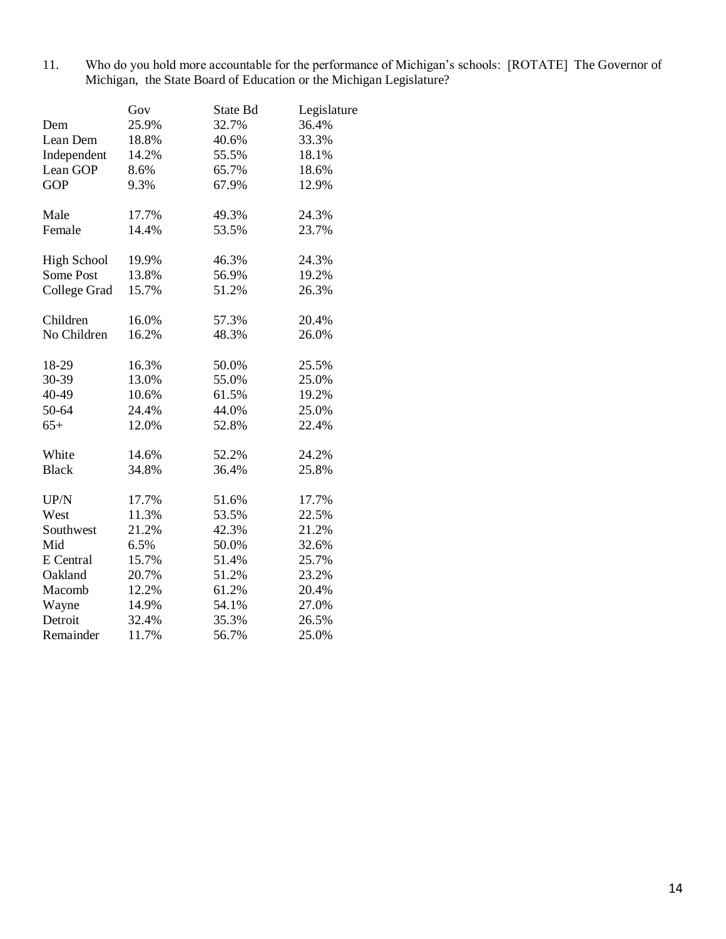11. Who do you hold more accountable for the performance of Michigan's schools: [ROTATE] The Governor of Michigan, the State Board of Education or the Michigan Legislature?

|                     | Gov   | State Bd | Legislature |
|---------------------|-------|----------|-------------|
| Dem                 | 25.9% | 32.7%    | 36.4%       |
| Lean Dem            | 18.8% | 40.6%    | 33.3%       |
| Independent         | 14.2% | 55.5%    | 18.1%       |
| Lean GOP            | 8.6%  | 65.7%    | 18.6%       |
| <b>GOP</b>          | 9.3%  | 67.9%    | 12.9%       |
| Male                | 17.7% | 49.3%    | 24.3%       |
| Female              | 14.4% | 53.5%    | 23.7%       |
| <b>High School</b>  | 19.9% | 46.3%    | 24.3%       |
| Some Post           | 13.8% | 56.9%    | 19.2%       |
| <b>College Grad</b> | 15.7% | 51.2%    | 26.3%       |
| Children            | 16.0% | 57.3%    | 20.4%       |
| No Children         | 16.2% | 48.3%    | 26.0%       |
| 18-29               | 16.3% | 50.0%    | 25.5%       |
| 30-39               | 13.0% | 55.0%    | 25.0%       |
| 40-49               | 10.6% | 61.5%    | 19.2%       |
| 50-64               | 24.4% | 44.0%    | 25.0%       |
| $65+$               | 12.0% | 52.8%    | 22.4%       |
| White               | 14.6% | 52.2%    | 24.2%       |
| <b>Black</b>        | 34.8% | 36.4%    | 25.8%       |
| UP/N                | 17.7% | 51.6%    | 17.7%       |
| West                | 11.3% | 53.5%    | 22.5%       |
| Southwest           | 21.2% | 42.3%    | 21.2%       |
| Mid                 | 6.5%  | 50.0%    | 32.6%       |
| E Central           | 15.7% | 51.4%    | 25.7%       |
| Oakland             | 20.7% | 51.2%    | 23.2%       |
| Macomb              | 12.2% | 61.2%    | 20.4%       |
| Wayne               | 14.9% | 54.1%    | 27.0%       |
| Detroit             | 32.4% | 35.3%    | 26.5%       |
| Remainder           | 11.7% | 56.7%    | 25.0%       |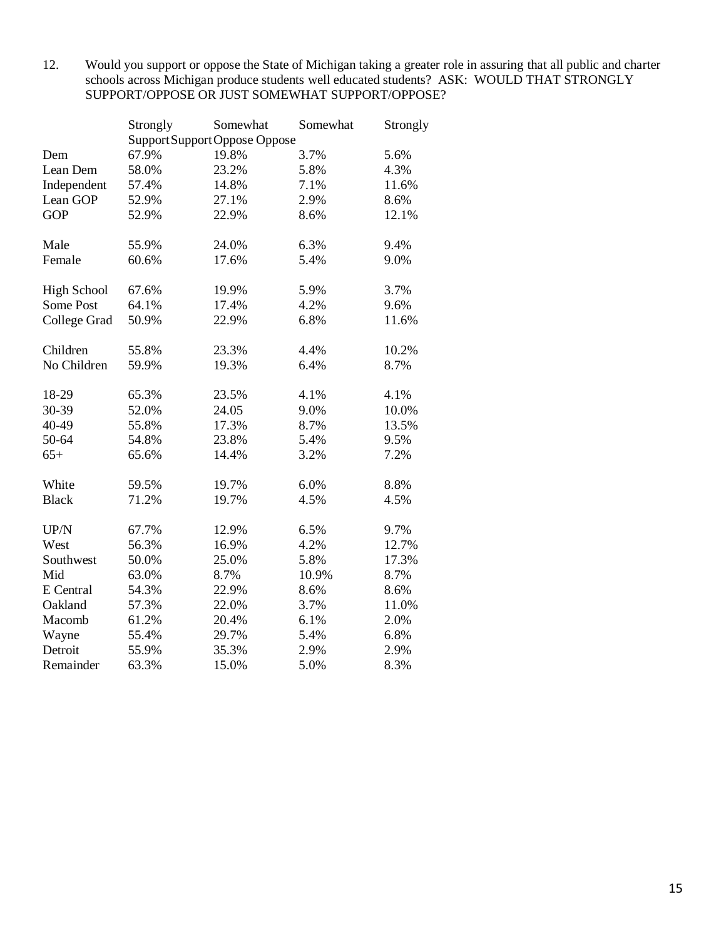12. Would you support or oppose the State of Michigan taking a greater role in assuring that all public and charter schools across Michigan produce students well educated students? ASK: WOULD THAT STRONGLY SUPPORT/OPPOSE OR JUST SOMEWHAT SUPPORT/OPPOSE?

|                    | Strongly | Somewhat                      | Somewhat | Strongly |
|--------------------|----------|-------------------------------|----------|----------|
|                    |          | Support Support Oppose Oppose |          |          |
| Dem                | 67.9%    | 19.8%                         | 3.7%     | 5.6%     |
| Lean Dem           | 58.0%    | 23.2%                         | 5.8%     | 4.3%     |
| Independent        | 57.4%    | 14.8%                         | 7.1%     | 11.6%    |
| Lean GOP           | 52.9%    | 27.1%                         | 2.9%     | 8.6%     |
| <b>GOP</b>         | 52.9%    | 22.9%                         | 8.6%     | 12.1%    |
| Male               | 55.9%    | 24.0%                         | 6.3%     | 9.4%     |
| Female             | 60.6%    | 17.6%                         | 5.4%     | 9.0%     |
| <b>High School</b> | 67.6%    | 19.9%                         | 5.9%     | 3.7%     |
| Some Post          | 64.1%    | 17.4%                         | 4.2%     | 9.6%     |
| College Grad       | 50.9%    | 22.9%                         | 6.8%     | 11.6%    |
| Children           | 55.8%    | 23.3%                         | 4.4%     | 10.2%    |
| No Children        | 59.9%    | 19.3%                         | 6.4%     | 8.7%     |
| 18-29              | 65.3%    | 23.5%                         | 4.1%     | 4.1%     |
| 30-39              | 52.0%    | 24.05                         | 9.0%     | 10.0%    |
| 40-49              | 55.8%    | 17.3%                         | 8.7%     | 13.5%    |
| 50-64              | 54.8%    | 23.8%                         | 5.4%     | 9.5%     |
| $65+$              | 65.6%    | 14.4%                         | 3.2%     | 7.2%     |
| White              | 59.5%    | 19.7%                         | 6.0%     | 8.8%     |
| <b>Black</b>       | 71.2%    | 19.7%                         | 4.5%     | 4.5%     |
| UP/N               | 67.7%    | 12.9%                         | 6.5%     | 9.7%     |
| West               | 56.3%    | 16.9%                         | 4.2%     | 12.7%    |
| Southwest          | 50.0%    | 25.0%                         | 5.8%     | 17.3%    |
| Mid                | 63.0%    | 8.7%                          | 10.9%    | 8.7%     |
| E Central          | 54.3%    | 22.9%                         | 8.6%     | 8.6%     |
| Oakland            | 57.3%    | 22.0%                         | 3.7%     | 11.0%    |
| Macomb             | 61.2%    | 20.4%                         | 6.1%     | 2.0%     |
| Wayne              | 55.4%    | 29.7%                         | 5.4%     | 6.8%     |
| Detroit            | 55.9%    | 35.3%                         | 2.9%     | 2.9%     |
| Remainder          | 63.3%    | 15.0%                         | 5.0%     | 8.3%     |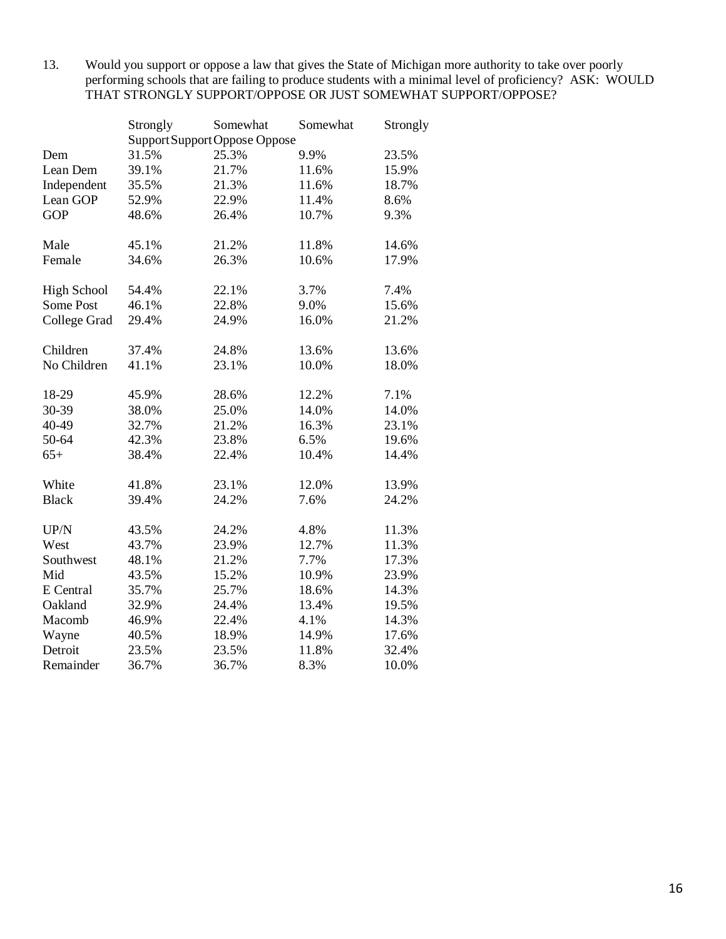13. Would you support or oppose a law that gives the State of Michigan more authority to take over poorly performing schools that are failing to produce students with a minimal level of proficiency? ASK: WOULD THAT STRONGLY SUPPORT/OPPOSE OR JUST SOMEWHAT SUPPORT/OPPOSE?

|                    | Strongly | Somewhat                      | Somewhat | Strongly |
|--------------------|----------|-------------------------------|----------|----------|
|                    |          | Support Support Oppose Oppose |          |          |
| Dem                | 31.5%    | 25.3%                         | 9.9%     | 23.5%    |
| Lean Dem           | 39.1%    | 21.7%                         | 11.6%    | 15.9%    |
| Independent        | 35.5%    | 21.3%                         | 11.6%    | 18.7%    |
| Lean GOP           | 52.9%    | 22.9%                         | 11.4%    | 8.6%     |
| <b>GOP</b>         | 48.6%    | 26.4%                         | 10.7%    | 9.3%     |
| Male               | 45.1%    | 21.2%                         | 11.8%    | 14.6%    |
| Female             | 34.6%    | 26.3%                         | 10.6%    | 17.9%    |
| <b>High School</b> | 54.4%    | 22.1%                         | 3.7%     | 7.4%     |
| Some Post          | 46.1%    | 22.8%                         | 9.0%     | 15.6%    |
| College Grad       | 29.4%    | 24.9%                         | 16.0%    | 21.2%    |
| Children           | 37.4%    | 24.8%                         | 13.6%    | 13.6%    |
| No Children        | 41.1%    | 23.1%                         | 10.0%    | 18.0%    |
| 18-29              | 45.9%    | 28.6%                         | 12.2%    | 7.1%     |
| 30-39              | 38.0%    | 25.0%                         | 14.0%    | 14.0%    |
| 40-49              | 32.7%    | 21.2%                         | 16.3%    | 23.1%    |
| 50-64              | 42.3%    | 23.8%                         | 6.5%     | 19.6%    |
| $65+$              | 38.4%    | 22.4%                         | 10.4%    | 14.4%    |
| White              | 41.8%    | 23.1%                         | 12.0%    | 13.9%    |
| <b>Black</b>       | 39.4%    | 24.2%                         | 7.6%     | 24.2%    |
| UP/N               | 43.5%    | 24.2%                         | 4.8%     | 11.3%    |
| West               | 43.7%    | 23.9%                         | 12.7%    | 11.3%    |
| Southwest          | 48.1%    | 21.2%                         | 7.7%     | 17.3%    |
| Mid                | 43.5%    | 15.2%                         | 10.9%    | 23.9%    |
| E Central          | 35.7%    | 25.7%                         | 18.6%    | 14.3%    |
| Oakland            | 32.9%    | 24.4%                         | 13.4%    | 19.5%    |
| Macomb             | 46.9%    | 22.4%                         | 4.1%     | 14.3%    |
| Wayne              | 40.5%    | 18.9%                         | 14.9%    | 17.6%    |
| Detroit            | 23.5%    | 23.5%                         | 11.8%    | 32.4%    |
| Remainder          | 36.7%    | 36.7%                         | 8.3%     | 10.0%    |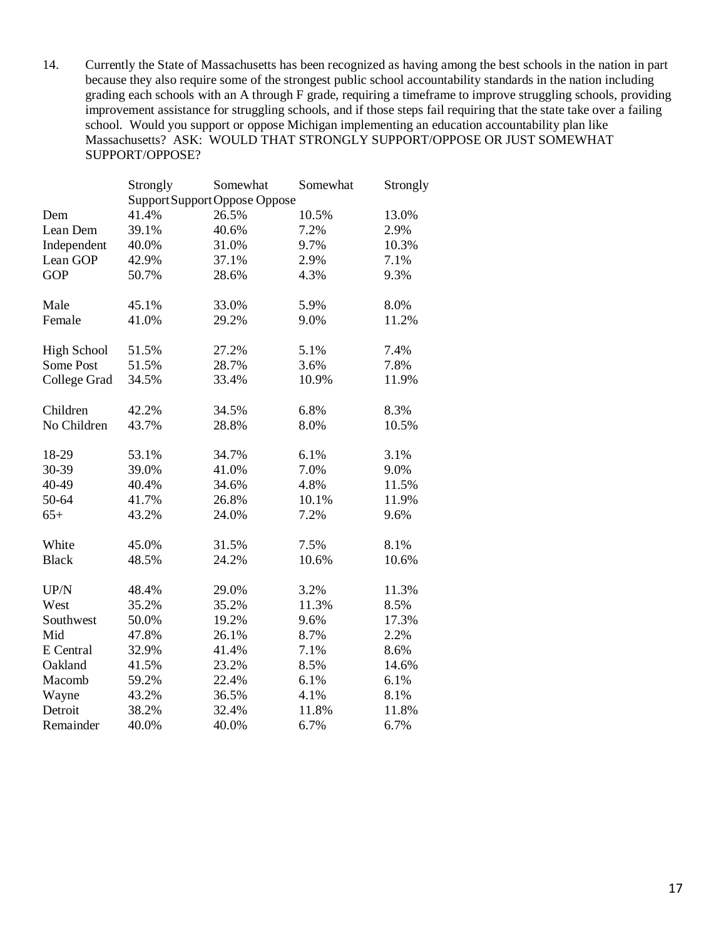14. Currently the State of Massachusetts has been recognized as having among the best schools in the nation in part because they also require some of the strongest public school accountability standards in the nation including grading each schools with an A through F grade, requiring a timeframe to improve struggling schools, providing improvement assistance for struggling schools, and if those steps fail requiring that the state take over a failing school. Would you support or oppose Michigan implementing an education accountability plan like Massachusetts? ASK: WOULD THAT STRONGLY SUPPORT/OPPOSE OR JUST SOMEWHAT SUPPORT/OPPOSE?

|                    | Strongly | Somewhat                      | Somewhat | Strongly |
|--------------------|----------|-------------------------------|----------|----------|
|                    |          | Support Support Oppose Oppose |          |          |
| Dem                | 41.4%    | 26.5%                         | 10.5%    | 13.0%    |
| Lean Dem           | 39.1%    | 40.6%                         | 7.2%     | 2.9%     |
| Independent        | 40.0%    | 31.0%                         | 9.7%     | 10.3%    |
| Lean GOP           | 42.9%    | 37.1%                         | 2.9%     | 7.1%     |
| <b>GOP</b>         | 50.7%    | 28.6%                         | 4.3%     | 9.3%     |
| Male               | 45.1%    | 33.0%                         | 5.9%     | 8.0%     |
| Female             | 41.0%    | 29.2%                         | 9.0%     | 11.2%    |
| <b>High School</b> | 51.5%    | 27.2%                         | 5.1%     | 7.4%     |
| Some Post          | 51.5%    | 28.7%                         | 3.6%     | 7.8%     |
| College Grad       | 34.5%    | 33.4%                         | 10.9%    | 11.9%    |
| Children           | 42.2%    | 34.5%                         | 6.8%     | 8.3%     |
| No Children        | 43.7%    | 28.8%                         | 8.0%     | 10.5%    |
| 18-29              | 53.1%    | 34.7%                         | 6.1%     | 3.1%     |
| 30-39              | 39.0%    | 41.0%                         | 7.0%     | 9.0%     |
| 40-49              | 40.4%    | 34.6%                         | 4.8%     | 11.5%    |
| 50-64              | 41.7%    | 26.8%                         | 10.1%    | 11.9%    |
| $65+$              | 43.2%    | 24.0%                         | 7.2%     | 9.6%     |
| White              | 45.0%    | 31.5%                         | 7.5%     | 8.1%     |
| <b>Black</b>       | 48.5%    | 24.2%                         | 10.6%    | 10.6%    |
| UP/N               | 48.4%    | 29.0%                         | 3.2%     | 11.3%    |
| West               | 35.2%    | 35.2%                         | 11.3%    | 8.5%     |
| Southwest          | 50.0%    | 19.2%                         | 9.6%     | 17.3%    |
| Mid                | 47.8%    | 26.1%                         | 8.7%     | 2.2%     |
| E Central          | 32.9%    | 41.4%                         | 7.1%     | 8.6%     |
| Oakland            | 41.5%    | 23.2%                         | 8.5%     | 14.6%    |
| Macomb             | 59.2%    | 22.4%                         | 6.1%     | 6.1%     |
| Wayne              | 43.2%    | 36.5%                         | 4.1%     | 8.1%     |
| Detroit            | 38.2%    | 32.4%                         | 11.8%    | 11.8%    |
| Remainder          | 40.0%    | 40.0%                         | 6.7%     | 6.7%     |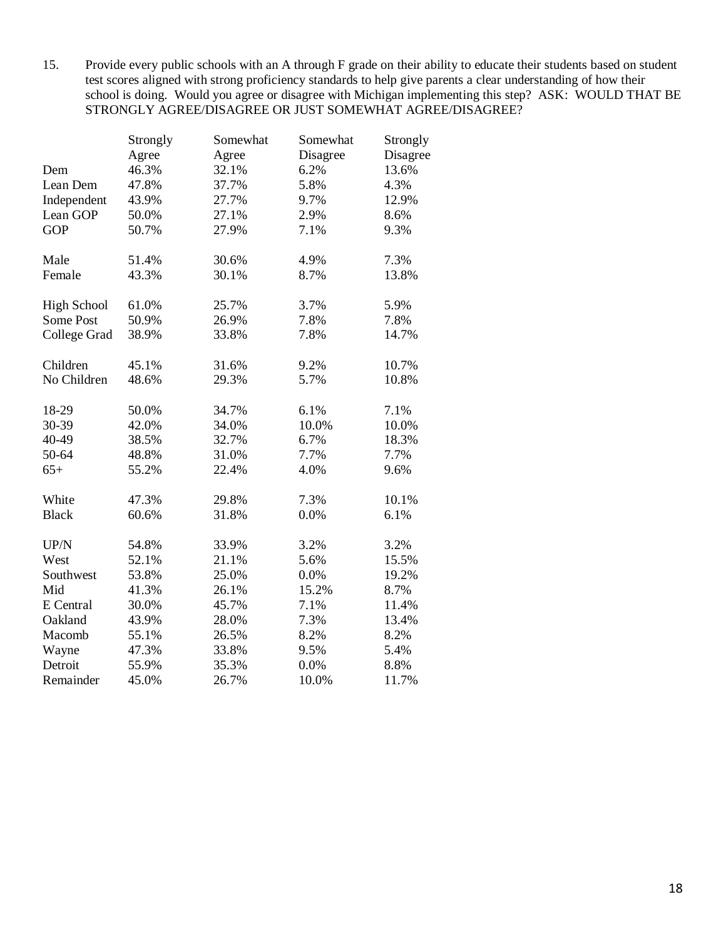15. Provide every public schools with an A through F grade on their ability to educate their students based on student test scores aligned with strong proficiency standards to help give parents a clear understanding of how their school is doing. Would you agree or disagree with Michigan implementing this step? ASK: WOULD THAT BE STRONGLY AGREE/DISAGREE OR JUST SOMEWHAT AGREE/DISAGREE?

|                    | Strongly | Somewhat | Somewhat | Strongly |
|--------------------|----------|----------|----------|----------|
|                    | Agree    | Agree    | Disagree | Disagree |
| Dem                | 46.3%    | 32.1%    | 6.2%     | 13.6%    |
| Lean Dem           | 47.8%    | 37.7%    | 5.8%     | 4.3%     |
| Independent        | 43.9%    | 27.7%    | 9.7%     | 12.9%    |
| Lean GOP           | 50.0%    | 27.1%    | 2.9%     | 8.6%     |
| <b>GOP</b>         | 50.7%    | 27.9%    | 7.1%     | 9.3%     |
| Male               | 51.4%    | 30.6%    | 4.9%     | 7.3%     |
| Female             | 43.3%    | 30.1%    | 8.7%     | 13.8%    |
| <b>High School</b> | 61.0%    | 25.7%    | 3.7%     | 5.9%     |
| Some Post          | 50.9%    | 26.9%    | 7.8%     | 7.8%     |
| College Grad       | 38.9%    | 33.8%    | 7.8%     | 14.7%    |
| Children           | 45.1%    | 31.6%    | 9.2%     | 10.7%    |
| No Children        | 48.6%    | 29.3%    | 5.7%     | 10.8%    |
| 18-29              | 50.0%    | 34.7%    | 6.1%     | 7.1%     |
| 30-39              | 42.0%    | 34.0%    | 10.0%    | 10.0%    |
| 40-49              | 38.5%    | 32.7%    | 6.7%     | 18.3%    |
| 50-64              | 48.8%    | 31.0%    | 7.7%     | 7.7%     |
| $65+$              | 55.2%    | 22.4%    | 4.0%     | 9.6%     |
| White              | 47.3%    | 29.8%    | 7.3%     | 10.1%    |
| <b>Black</b>       | 60.6%    | 31.8%    | 0.0%     | 6.1%     |
| UP/N               | 54.8%    | 33.9%    | 3.2%     | 3.2%     |
| West               | 52.1%    | 21.1%    | 5.6%     | 15.5%    |
| Southwest          | 53.8%    | 25.0%    | 0.0%     | 19.2%    |
| Mid                | 41.3%    | 26.1%    | 15.2%    | 8.7%     |
| E Central          | 30.0%    | 45.7%    | 7.1%     | 11.4%    |
| Oakland            | 43.9%    | 28.0%    | 7.3%     | 13.4%    |
| Macomb             | 55.1%    | 26.5%    | 8.2%     | 8.2%     |
| Wayne              | 47.3%    | 33.8%    | 9.5%     | 5.4%     |
| Detroit            | 55.9%    | 35.3%    | 0.0%     | 8.8%     |
| Remainder          | 45.0%    | 26.7%    | 10.0%    | 11.7%    |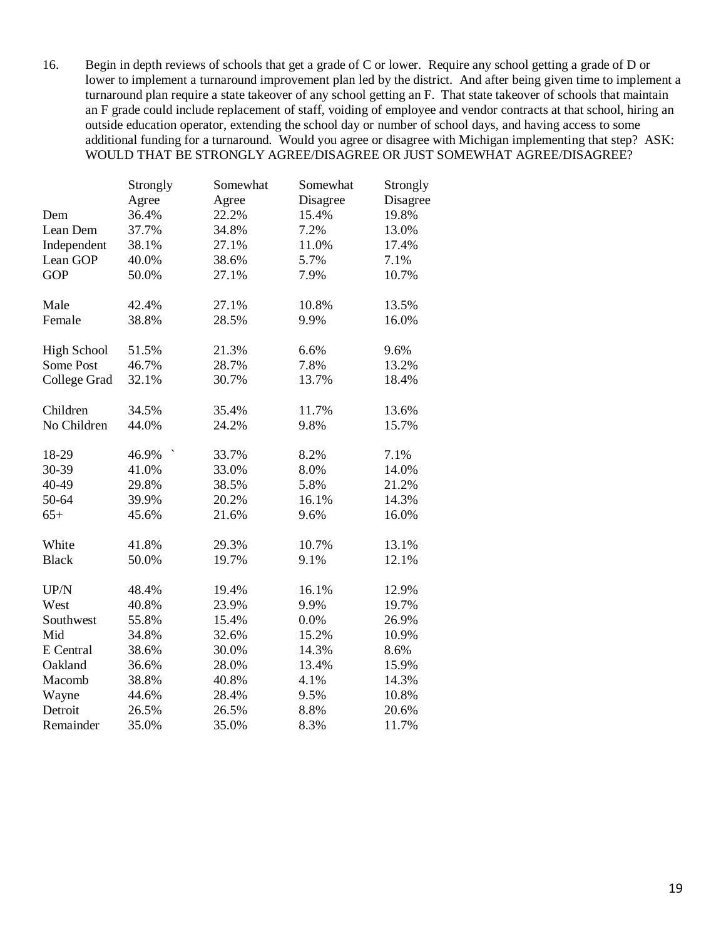16. Begin in depth reviews of schools that get a grade of C or lower. Require any school getting a grade of D or lower to implement a turnaround improvement plan led by the district. And after being given time to implement a turnaround plan require a state takeover of any school getting an F. That state takeover of schools that maintain an F grade could include replacement of staff, voiding of employee and vendor contracts at that school, hiring an outside education operator, extending the school day or number of school days, and having access to some additional funding for a turnaround. Would you agree or disagree with Michigan implementing that step? ASK: WOULD THAT BE STRONGLY AGREE/DISAGREE OR JUST SOMEWHAT AGREE/DISAGREE?

|                    | Strongly | Somewhat | Somewhat | Strongly |
|--------------------|----------|----------|----------|----------|
|                    | Agree    | Agree    | Disagree | Disagree |
| Dem                | 36.4%    | 22.2%    | 15.4%    | 19.8%    |
| Lean Dem           | 37.7%    | 34.8%    | 7.2%     | 13.0%    |
| Independent        | 38.1%    | 27.1%    | 11.0%    | 17.4%    |
| Lean GOP           | 40.0%    | 38.6%    | 5.7%     | 7.1%     |
| <b>GOP</b>         | 50.0%    | 27.1%    | 7.9%     | 10.7%    |
| Male               | 42.4%    | 27.1%    | 10.8%    | 13.5%    |
| Female             | 38.8%    | 28.5%    | 9.9%     | 16.0%    |
| <b>High School</b> | 51.5%    | 21.3%    | 6.6%     | 9.6%     |
| Some Post          | 46.7%    | 28.7%    | 7.8%     | 13.2%    |
| College Grad       | 32.1%    | 30.7%    | 13.7%    | 18.4%    |
| Children           | 34.5%    | 35.4%    | 11.7%    | 13.6%    |
| No Children        | 44.0%    | 24.2%    | 9.8%     | 15.7%    |
| 18-29              | 46.9%    | 33.7%    | 8.2%     | 7.1%     |
| 30-39              | 41.0%    | 33.0%    | 8.0%     | 14.0%    |
| 40-49              | 29.8%    | 38.5%    | 5.8%     | 21.2%    |
| 50-64              | 39.9%    | 20.2%    | 16.1%    | 14.3%    |
| $65+$              | 45.6%    | 21.6%    | 9.6%     | 16.0%    |
| White              | 41.8%    | 29.3%    | 10.7%    | 13.1%    |
| <b>Black</b>       | 50.0%    | 19.7%    | 9.1%     | 12.1%    |
| UP/N               | 48.4%    | 19.4%    | 16.1%    | 12.9%    |
| West               | 40.8%    | 23.9%    | 9.9%     | 19.7%    |
| Southwest          | 55.8%    | 15.4%    | 0.0%     | 26.9%    |
| Mid                | 34.8%    | 32.6%    | 15.2%    | 10.9%    |
| E Central          | 38.6%    | 30.0%    | 14.3%    | 8.6%     |
| Oakland            | 36.6%    | 28.0%    | 13.4%    | 15.9%    |
| Macomb             | 38.8%    | 40.8%    | 4.1%     | 14.3%    |
| Wayne              | 44.6%    | 28.4%    | 9.5%     | 10.8%    |
| Detroit            | 26.5%    | 26.5%    | 8.8%     | 20.6%    |
| Remainder          | 35.0%    | 35.0%    | 8.3%     | 11.7%    |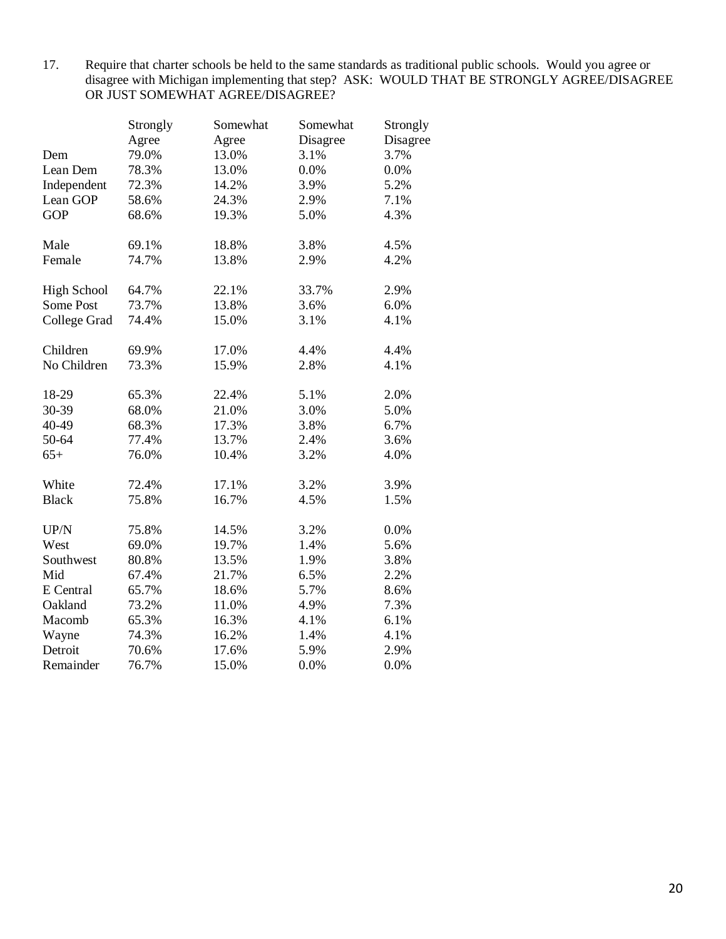17. Require that charter schools be held to the same standards as traditional public schools. Would you agree or disagree with Michigan implementing that step? ASK: WOULD THAT BE STRONGLY AGREE/DISAGREE OR JUST SOMEWHAT AGREE/DISAGREE?

|                    | Strongly | Somewhat | Somewhat | Strongly |
|--------------------|----------|----------|----------|----------|
|                    | Agree    | Agree    | Disagree | Disagree |
| Dem                | 79.0%    | 13.0%    | 3.1%     | 3.7%     |
| Lean Dem           | 78.3%    | 13.0%    | 0.0%     | 0.0%     |
| Independent        | 72.3%    | 14.2%    | 3.9%     | 5.2%     |
| Lean GOP           | 58.6%    | 24.3%    | 2.9%     | 7.1%     |
| <b>GOP</b>         | 68.6%    | 19.3%    | 5.0%     | 4.3%     |
| Male               | 69.1%    | 18.8%    | 3.8%     | 4.5%     |
| Female             | 74.7%    | 13.8%    | 2.9%     | 4.2%     |
| <b>High School</b> | 64.7%    | 22.1%    | 33.7%    | 2.9%     |
| Some Post          | 73.7%    | 13.8%    | 3.6%     | 6.0%     |
| College Grad       | 74.4%    | 15.0%    | 3.1%     | 4.1%     |
| Children           | 69.9%    | 17.0%    | 4.4%     | 4.4%     |
| No Children        | 73.3%    | 15.9%    | 2.8%     | 4.1%     |
| 18-29              | 65.3%    | 22.4%    | 5.1%     | 2.0%     |
| 30-39              | 68.0%    | 21.0%    | 3.0%     | 5.0%     |
| 40-49              | 68.3%    | 17.3%    | 3.8%     | 6.7%     |
| 50-64              | 77.4%    | 13.7%    | 2.4%     | 3.6%     |
| $65+$              | 76.0%    | 10.4%    | 3.2%     | 4.0%     |
| White              | 72.4%    | 17.1%    | 3.2%     | 3.9%     |
| <b>Black</b>       | 75.8%    | 16.7%    | 4.5%     | 1.5%     |
| UP/N               | 75.8%    | 14.5%    | 3.2%     | 0.0%     |
| West               | 69.0%    | 19.7%    | 1.4%     | 5.6%     |
| Southwest          | 80.8%    | 13.5%    | 1.9%     | 3.8%     |
| Mid                | 67.4%    | 21.7%    | 6.5%     | 2.2%     |
| E Central          | 65.7%    | 18.6%    | 5.7%     | 8.6%     |
| Oakland            | 73.2%    | 11.0%    | 4.9%     | 7.3%     |
| Macomb             | 65.3%    | 16.3%    | 4.1%     | 6.1%     |
| Wayne              | 74.3%    | 16.2%    | 1.4%     | 4.1%     |
| Detroit            | 70.6%    | 17.6%    | 5.9%     | 2.9%     |
| Remainder          | 76.7%    | 15.0%    | 0.0%     | 0.0%     |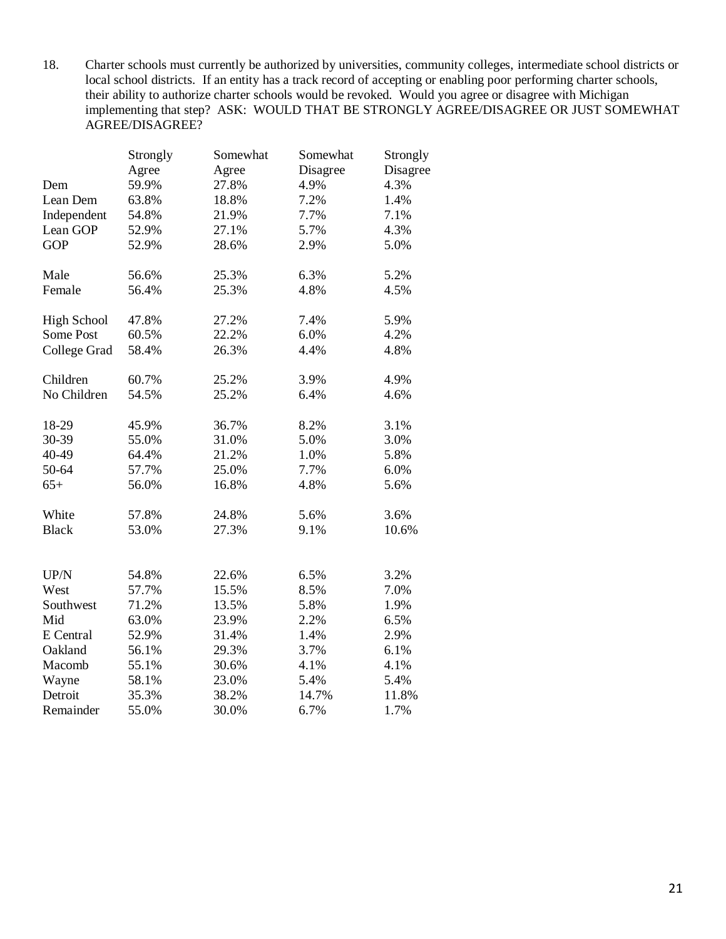18. Charter schools must currently be authorized by universities, community colleges, intermediate school districts or local school districts. If an entity has a track record of accepting or enabling poor performing charter schools, their ability to authorize charter schools would be revoked. Would you agree or disagree with Michigan implementing that step? ASK: WOULD THAT BE STRONGLY AGREE/DISAGREE OR JUST SOMEWHAT AGREE/DISAGREE?

|                    | Strongly | Somewhat | Somewhat | Strongly |
|--------------------|----------|----------|----------|----------|
|                    | Agree    | Agree    | Disagree | Disagree |
| Dem                | 59.9%    | 27.8%    | 4.9%     | 4.3%     |
| Lean Dem           | 63.8%    | 18.8%    | 7.2%     | 1.4%     |
| Independent        | 54.8%    | 21.9%    | 7.7%     | 7.1%     |
| Lean GOP           | 52.9%    | 27.1%    | 5.7%     | 4.3%     |
| <b>GOP</b>         | 52.9%    | 28.6%    | 2.9%     | 5.0%     |
| Male               | 56.6%    | 25.3%    | 6.3%     | 5.2%     |
| Female             | 56.4%    | 25.3%    | 4.8%     | 4.5%     |
| <b>High School</b> | 47.8%    | 27.2%    | 7.4%     | 5.9%     |
| Some Post          | 60.5%    | 22.2%    | 6.0%     | 4.2%     |
| College Grad       | 58.4%    | 26.3%    | 4.4%     | 4.8%     |
| Children           | 60.7%    | 25.2%    | 3.9%     | 4.9%     |
| No Children        | 54.5%    | 25.2%    | 6.4%     | 4.6%     |
| 18-29              | 45.9%    | 36.7%    | 8.2%     | 3.1%     |
| 30-39              | 55.0%    | 31.0%    | 5.0%     | 3.0%     |
| 40-49              | 64.4%    | 21.2%    | 1.0%     | 5.8%     |
| 50-64              | 57.7%    | 25.0%    | 7.7%     | 6.0%     |
| $65+$              | 56.0%    | 16.8%    | 4.8%     | 5.6%     |
| White              | 57.8%    | 24.8%    | 5.6%     | 3.6%     |
| <b>Black</b>       | 53.0%    | 27.3%    | 9.1%     | 10.6%    |
| UP/N               | 54.8%    | 22.6%    | 6.5%     | 3.2%     |
| West               | 57.7%    | 15.5%    | 8.5%     | 7.0%     |
| Southwest          | 71.2%    | 13.5%    | 5.8%     | 1.9%     |
| Mid                | 63.0%    | 23.9%    | 2.2%     | 6.5%     |
| E Central          | 52.9%    | 31.4%    | 1.4%     | 2.9%     |
| Oakland            | 56.1%    | 29.3%    | 3.7%     | 6.1%     |
| Macomb             | 55.1%    | 30.6%    | 4.1%     | 4.1%     |
| Wayne              | 58.1%    | 23.0%    | 5.4%     | 5.4%     |
| Detroit            | 35.3%    | 38.2%    | 14.7%    | 11.8%    |
| Remainder          | 55.0%    | 30.0%    | 6.7%     | 1.7%     |